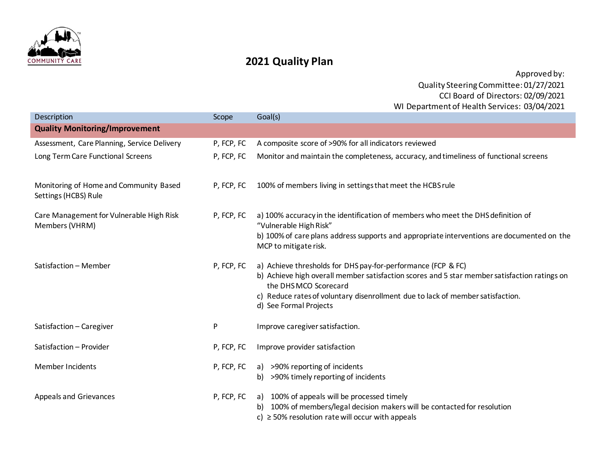

## **2021 Quality Plan**

Approved by: Quality Steering Committee: 01/27/2021 CCI Board of Directors: 02/09/2021 WI Department of Health Services: 03/04/2021

| Description                                                    | Scope      | Goal(s)                                                                                                                                                                                                                                                                                          |
|----------------------------------------------------------------|------------|--------------------------------------------------------------------------------------------------------------------------------------------------------------------------------------------------------------------------------------------------------------------------------------------------|
| <b>Quality Monitoring/Improvement</b>                          |            |                                                                                                                                                                                                                                                                                                  |
| Assessment, Care Planning, Service Delivery                    | P, FCP, FC | A composite score of >90% for all indicators reviewed                                                                                                                                                                                                                                            |
| Long Term Care Functional Screens                              | P, FCP, FC | Monitor and maintain the completeness, accuracy, and timeliness of functional screens                                                                                                                                                                                                            |
| Monitoring of Home and Community Based<br>Settings (HCBS) Rule | P, FCP, FC | 100% of members living in settings that meet the HCBS rule                                                                                                                                                                                                                                       |
| Care Management for Vulnerable High Risk<br>Members (VHRM)     | P, FCP, FC | a) 100% accuracy in the identification of members who meet the DHS definition of<br>"Vulnerable High Risk"                                                                                                                                                                                       |
|                                                                |            | b) 100% of care plans address supports and appropriate interventions are documented on the<br>MCP to mitigate risk.                                                                                                                                                                              |
| Satisfaction - Member                                          | P, FCP, FC | a) Achieve thresholds for DHS pay-for-performance (FCP & FC)<br>b) Achieve high overall member satisfaction scores and 5 star member satisfaction ratings on<br>the DHSMCO Scorecard<br>c) Reduce rates of voluntary disenrollment due to lack of member satisfaction.<br>d) See Formal Projects |
| Satisfaction - Caregiver                                       | P          | Improve caregiver satisfaction.                                                                                                                                                                                                                                                                  |
| Satisfaction - Provider                                        | P, FCP, FC | Improve provider satisfaction                                                                                                                                                                                                                                                                    |
| <b>Member Incidents</b>                                        | P, FCP, FC | a) >90% reporting of incidents<br>b) >90% timely reporting of incidents                                                                                                                                                                                                                          |
| <b>Appeals and Grievances</b>                                  | P, FCP, FC | a) 100% of appeals will be processed timely<br>100% of members/legal decision makers will be contacted for resolution<br>c) $\ge$ 50% resolution rate will occur with appeals                                                                                                                    |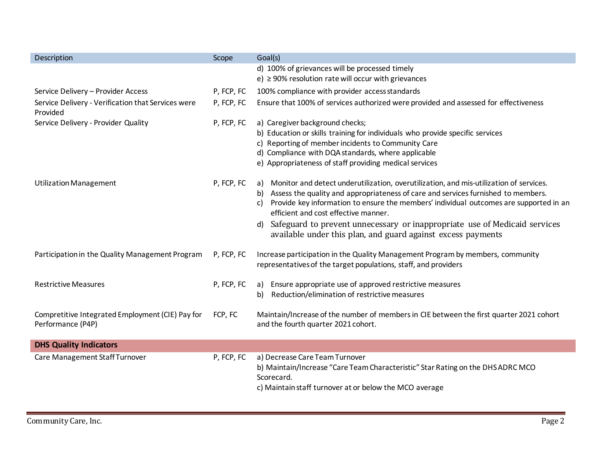| Description                                                           | Scope      | Goal(s)                                                                                                                                                                                                                                                                                                                                                                                                                                                                       |
|-----------------------------------------------------------------------|------------|-------------------------------------------------------------------------------------------------------------------------------------------------------------------------------------------------------------------------------------------------------------------------------------------------------------------------------------------------------------------------------------------------------------------------------------------------------------------------------|
|                                                                       |            | d) 100% of grievances will be processed timely<br>e) $\geq$ 90% resolution rate will occur with grievances                                                                                                                                                                                                                                                                                                                                                                    |
| Service Delivery - Provider Access                                    | P, FCP, FC | 100% compliance with provider access standards                                                                                                                                                                                                                                                                                                                                                                                                                                |
| Service Delivery - Verification that Services were<br>Provided        | P, FCP, FC | Ensure that 100% of services authorized were provided and assessed for effectiveness                                                                                                                                                                                                                                                                                                                                                                                          |
| Service Delivery - Provider Quality                                   | P, FCP, FC | a) Caregiver background checks;<br>b) Education or skills training for individuals who provide specific services<br>c) Reporting of member incidents to Community Care<br>d) Compliance with DQA standards, where applicable<br>e) Appropriateness of staff providing medical services                                                                                                                                                                                        |
| <b>Utilization Management</b>                                         | P, FCP, FC | a) Monitor and detect underutilization, overutilization, and mis-utilization of services.<br>b) Assess the quality and appropriateness of care and services furnished to members.<br>Provide key information to ensure the members' individual outcomes are supported in an<br>C)<br>efficient and cost effective manner.<br>Safeguard to prevent unnecessary or inappropriate use of Medicaid services<br>d)<br>available under this plan, and guard against excess payments |
| Participation in the Quality Management Program                       | P, FCP, FC | Increase participation in the Quality Management Program by members, community<br>representatives of the target populations, staff, and providers                                                                                                                                                                                                                                                                                                                             |
| <b>Restrictive Measures</b>                                           | P, FCP, FC | a) Ensure appropriate use of approved restrictive measures<br>Reduction/elimination of restrictive measures<br>b)                                                                                                                                                                                                                                                                                                                                                             |
| Compretitive Integrated Employment (CIE) Pay for<br>Performance (P4P) | FCP, FC    | Maintain/Increase of the number of members in CIE between the first quarter 2021 cohort<br>and the fourth quarter 2021 cohort.                                                                                                                                                                                                                                                                                                                                                |
| <b>DHS Quality Indicators</b>                                         |            |                                                                                                                                                                                                                                                                                                                                                                                                                                                                               |
| Care Management Staff Turnover                                        | P, FCP, FC | a) Decrease Care Team Turnover<br>b) Maintain/Increase "Care Team Characteristic" Star Rating on the DHS ADRC MCO<br>Scorecard.<br>c) Maintain staff turnover at or below the MCO average                                                                                                                                                                                                                                                                                     |